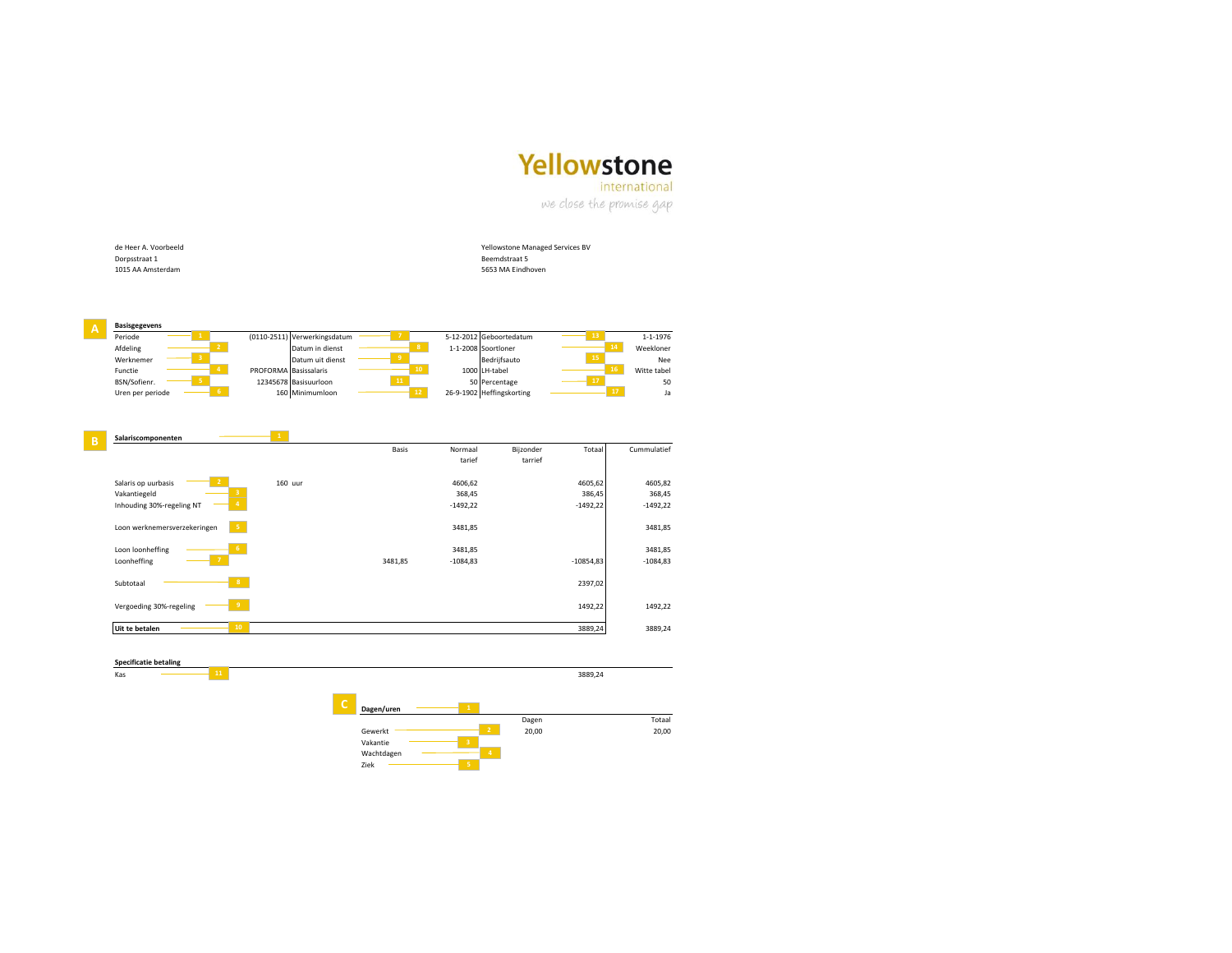## Yellowstone

international

we close the promise gap